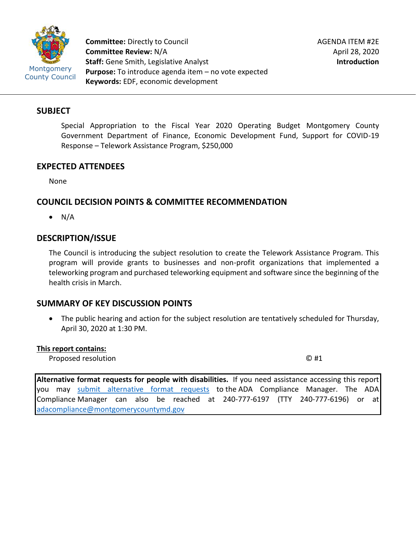

**Committee:** Directly to Council **Committee Review:** N/A **Staff:** Gene Smith, Legislative Analyst **Purpose:** To introduce agenda item – no vote expected **Keywords:** EDF, economic development

# **SUBJECT**

Special Appropriation to the Fiscal Year 2020 Operating Budget Montgomery County Government Department of Finance, Economic Development Fund, Support for COVID-19 Response – Telework Assistance Program, \$250,000

## **EXPECTED ATTENDEES**

None

# **COUNCIL DECISION POINTS & COMMITTEE RECOMMENDATION**

 $\bullet$  N/A

# **DESCRIPTION/ISSUE**

The Council is introducing the subject resolution to create the Telework Assistance Program. This program will provide grants to businesses and non-profit organizations that implemented a teleworking program and purchased teleworking equipment and software since the beginning of the health crisis in March.

# **SUMMARY OF KEY DISCUSSION POINTS**

• The public hearing and action for the subject resolution are tentatively scheduled for Thursday, April 30, 2020 at 1:30 PM.

#### **This report contains:**

Proposed resolution  $\mathbb{C}$  #1

**Alternative format requests for people with disabilities.** If you need assistance accessing this report you may [submit alternative format requests](https://gcc01.safelinks.protection.outlook.com/?url=http%3A%2F%2Fwww2.montgomerycountymd.gov%2Fmcgportalapps%2FAccessibilityForm.aspx&data=02%7C01%7Csandra.marin%40montgomerycountymd.gov%7C79d44e803a8846df027008d6ad4e4d1b%7C6e01b1f9b1e54073ac97778069a0ad64%7C0%7C0%7C636886950086244453&sdata=AT2lwLz22SWBJ8c92gXfspY8lQVeGCrUbqSPzpYheB0%3D&reserved=0) to the ADA Compliance Manager. The ADA Compliance Manager can also be reached at 240-777-6197 (TTY 240-777-6196) or at [adacompliance@montgomerycountymd.gov](mailto:adacompliance@montgomerycountymd.gov)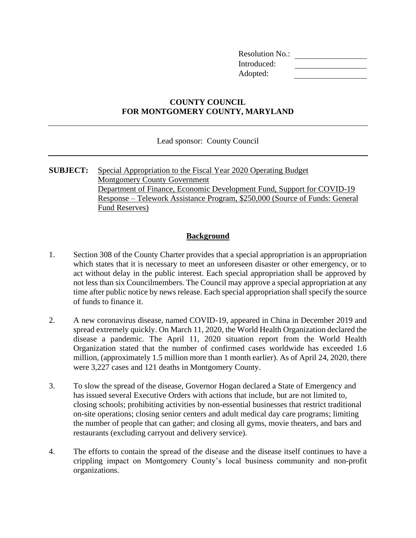Resolution No.: Introduced: Adopted:

# **COUNTY COUNCIL FOR MONTGOMERY COUNTY, MARYLAND**

Lead sponsor: County Council

**SUBJECT:** Special Appropriation to the Fiscal Year 2020 Operating Budget Montgomery County Government Department of Finance, Economic Development Fund, Support for COVID-19 Response – Telework Assistance Program, \$250,000 (Source of Funds: General Fund Reserves)

### **Background**

- 1. Section 308 of the County Charter provides that a special appropriation is an appropriation which states that it is necessary to meet an unforeseen disaster or other emergency, or to act without delay in the public interest. Each special appropriation shall be approved by not less than six Councilmembers. The Council may approve a special appropriation at any time after public notice by news release. Each special appropriation shall specify the source of funds to finance it.
- 2. A new coronavirus disease, named COVID-19, appeared in China in December 2019 and spread extremely quickly. On March 11, 2020, the World Health Organization declared the disease a pandemic. The April 11, 2020 situation report from the World Health Organization stated that the number of confirmed cases worldwide has exceeded 1.6 million, (approximately 1.5 million more than 1 month earlier). As of April 24, 2020, there were 3,227 cases and 121 deaths in Montgomery County.
- 3. To slow the spread of the disease, Governor Hogan declared a State of Emergency and has issued several Executive Orders with actions that include, but are not limited to, closing schools; prohibiting activities by non-essential businesses that restrict traditional on-site operations; closing senior centers and adult medical day care programs; limiting the number of people that can gather; and closing all gyms, movie theaters, and bars and restaurants (excluding carryout and delivery service).
- 4. The efforts to contain the spread of the disease and the disease itself continues to have a crippling impact on Montgomery County's local business community and non-profit organizations.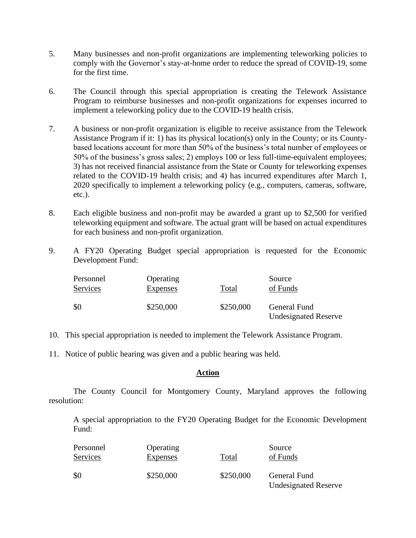- 5. Many businesses and non-profit organizations are implementing teleworking policies to comply with the Governor's stay-at-home order to reduce the spread of COVID-19, some for the first time.
- 6. The Council through this special appropriation is creating the Telework Assistance Program to reimburse businesses and non-profit organizations for expenses incurred to implement a teleworking policy due to the COVID-19 health crisis.
- 7. A business or non-profit organization is eligible to receive assistance from the Telework Assistance Program if it: 1) has its physical location(s) only in the County; or its Countybased locations account for more than 50% of the business's total number of employees or 50% of the business's gross sales; 2) employs 100 or less full-time-equivalent employees; 3) has not received financial assistance from the State or County for teleworking expenses related to the COVID-19 health crisis; and 4) has incurred expenditures after March 1, 2020 specifically to implement a teleworking policy (e.g., computers, cameras, software, etc.).
- 8. Each eligible business and non-profit may be awarded a grant up to \$2,500 for verified teleworking equipment and software. The actual grant will be based on actual expenditures for each business and non-profit organization.
- 9. A FY20 Operating Budget special appropriation is requested for the Economic Development Fund:

| Personnel<br>Services | Operating<br><b>Expenses</b> | <u>Total</u> | Source<br>of Funds                          |
|-----------------------|------------------------------|--------------|---------------------------------------------|
| \$0                   | \$250,000                    | \$250,000    | General Fund<br><b>Undesignated Reserve</b> |

- 10. This special appropriation is needed to implement the Telework Assistance Program.
- 11. Notice of public hearing was given and a public hearing was held.

#### **Action**

The County Council for Montgomery County, Maryland approves the following resolution:

A special appropriation to the FY20 Operating Budget for the Economic Development Fund:

| Personnel<br>Services | Operating<br><b>Expenses</b> | Total     | Source<br>of Funds                          |
|-----------------------|------------------------------|-----------|---------------------------------------------|
| \$0                   | \$250,000                    | \$250,000 | General Fund<br><b>Undesignated Reserve</b> |